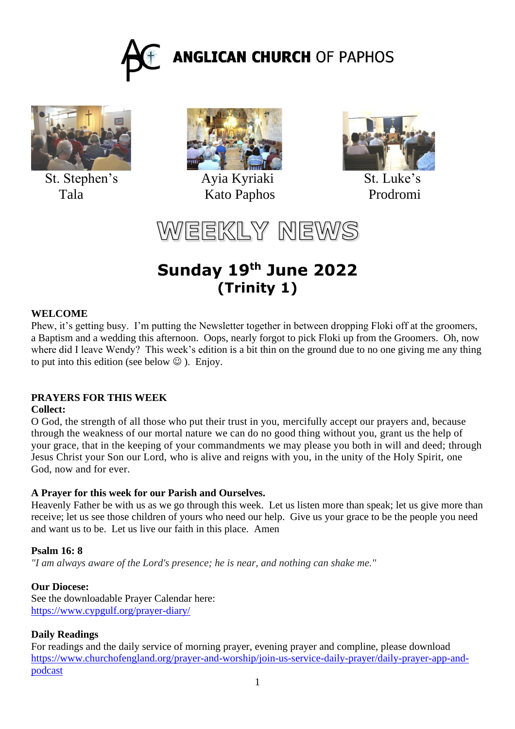



St. Stephen's Ayia Kyriaki St. Luke's



Tala Kato Paphos Prodromi



WEEKLY NEWS

# **Sunday 19 th June 2022 (Trinity 1)**

## **WELCOME**

Phew, it's getting busy. I'm putting the Newsletter together in between dropping Floki off at the groomers, a Baptism and a wedding this afternoon. Oops, nearly forgot to pick Floki up from the Groomers. Oh, now where did I leave Wendy? This week's edition is a bit thin on the ground due to no one giving me any thing to put into this edition (see below  $\odot$  ). Enjoy.

## **PRAYERS FOR THIS WEEK**

#### **Collect:**

O God, the strength of all those who put their trust in you, mercifully accept our prayers and, because through the weakness of our mortal nature we can do no good thing without you, grant us the help of your grace, that in the keeping of your commandments we may please you both in will and deed; through Jesus Christ your Son our Lord, who is alive and reigns with you, in the unity of the Holy Spirit, one God, now and for ever.

## **A Prayer for this week for our Parish and Ourselves.**

Heavenly Father be with us as we go through this week. Let us listen more than speak; let us give more than receive; let us see those children of yours who need our help. Give us your grace to be the people you need and want us to be. Let us live our faith in this place. Amen

## **Psalm 16: 8**

*"I am always aware of the Lord's presence; he is near, and nothing can shake me."*

## **Our Diocese:**

See the downloadable Prayer Calendar here: <https://www.cypgulf.org/prayer-diary/>

## **Daily Readings**

For readings and the daily service of morning prayer, evening prayer and compline, please download [https://www.churchofengland.org/prayer-and-worship/join-us-service-daily-prayer/daily-prayer-app-and](https://www.churchofengland.org/prayer-and-worship/join-us-service-daily-prayer/daily-prayer-app-and-podcast)[podcast](https://www.churchofengland.org/prayer-and-worship/join-us-service-daily-prayer/daily-prayer-app-and-podcast)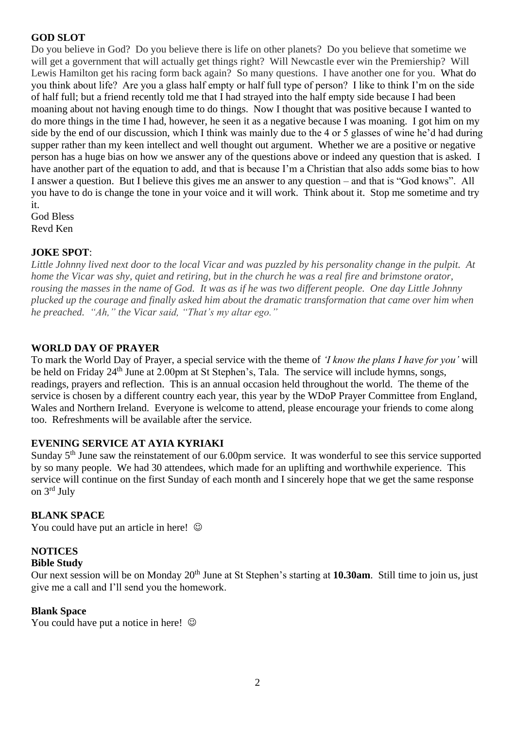# **GOD SLOT**

Do you believe in God? Do you believe there is life on other planets? Do you believe that sometime we will get a government that will actually get things right? Will Newcastle ever win the Premiership? Will Lewis Hamilton get his racing form back again? So many questions. I have another one for you. What do you think about life? Are you a glass half empty or half full type of person? I like to think I'm on the side of half full; but a friend recently told me that I had strayed into the half empty side because I had been moaning about not having enough time to do things. Now I thought that was positive because I wanted to do more things in the time I had, however, he seen it as a negative because I was moaning. I got him on my side by the end of our discussion, which I think was mainly due to the 4 or 5 glasses of wine he'd had during supper rather than my keen intellect and well thought out argument. Whether we are a positive or negative person has a huge bias on how we answer any of the questions above or indeed any question that is asked. I have another part of the equation to add, and that is because I'm a Christian that also adds some bias to how I answer a question. But I believe this gives me an answer to any question – and that is "God knows". All you have to do is change the tone in your voice and it will work. Think about it. Stop me sometime and try it.

God Bless Revd Ken

## **JOKE SPOT**:

*Little Johnny lived next door to the local Vicar and was puzzled by his personality change in the pulpit. At home the Vicar was shy, quiet and retiring, but in the church he was a real fire and brimstone orator, rousing the masses in the name of God. It was as if he was two different people. One day Little Johnny plucked up the courage and finally asked him about the dramatic transformation that came over him when he preached. "Ah," the Vicar said, "That's my altar ego."*

# **WORLD DAY OF PRAYER**

To mark the World Day of Prayer, a special service with the theme of *'I know the plans I have for you'* will be held on Friday 24<sup>th</sup> June at 2.00pm at St Stephen's, Tala. The service will include hymns, songs, readings, prayers and reflection. This is an annual occasion held throughout the world. The theme of the service is chosen by a different country each year, this year by the WDoP Prayer Committee from England, Wales and Northern Ireland. Everyone is welcome to attend, please encourage your friends to come along too. Refreshments will be available after the service.

# **EVENING SERVICE AT AYIA KYRIAKI**

Sunday 5<sup>th</sup> June saw the reinstatement of our 6.00pm service. It was wonderful to see this service supported by so many people. We had 30 attendees, which made for an uplifting and worthwhile experience. This service will continue on the first Sunday of each month and I sincerely hope that we get the same response on 3rd July

## **BLANK SPACE**

You could have put an article in here!  $\odot$ 

## **NOTICES**

#### **Bible Study**

Our next session will be on Monday 20<sup>th</sup> June at St Stephen's starting at **10.30am**. Still time to join us, just give me a call and I'll send you the homework.

#### **Blank Space**

You could have put a notice in here!  $\odot$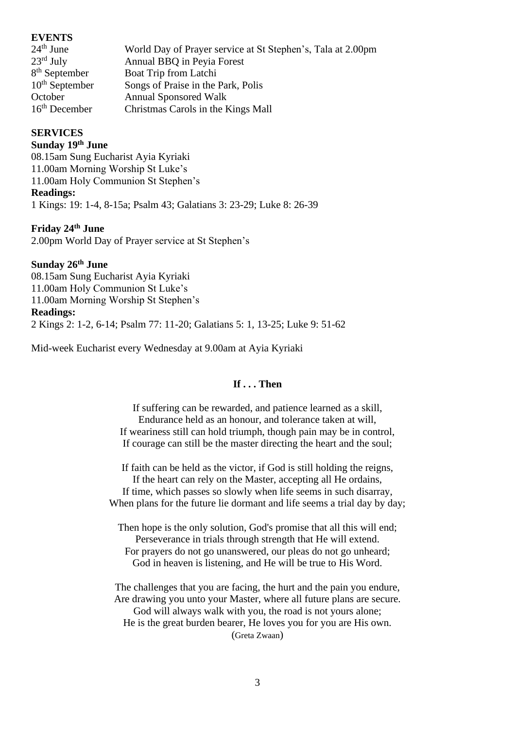#### **EVENTS**

| $24th$ June           | World Day of Prayer service at St Stephen's, Tala at 2.00pm |
|-----------------------|-------------------------------------------------------------|
| $23^{\text{rd}}$ July | Annual BBQ in Peyia Forest                                  |
| $8th$ September       | Boat Trip from Latchi                                       |
| $10th$ September      | Songs of Praise in the Park, Polis                          |
| October               | <b>Annual Sponsored Walk</b>                                |
| $16th$ December       | Christmas Carols in the Kings Mall                          |

#### **SERVICES**

#### **Sunday 19th June**

08.15am Sung Eucharist Ayia Kyriaki 11.00am Morning Worship St Luke's 11.00am Holy Communion St Stephen's **Readings:** 1 Kings: 19: 1-4, 8-15a; Psalm 43; Galatians 3: 23-29; Luke 8: 26-39

#### **Friday 24th June**

2.00pm World Day of Prayer service at St Stephen's

#### **Sunday 26th June**

08.15am Sung Eucharist Ayia Kyriaki 11.00am Holy Communion St Luke's 11.00am Morning Worship St Stephen's **Readings:** 2 Kings 2: 1-2, 6-14; Psalm 77: 11-20; Galatians 5: 1, 13-25; Luke 9: 51-62

Mid-week Eucharist every Wednesday at 9.00am at Ayia Kyriaki

#### **If . . . Then**

If suffering can be rewarded, and patience learned as a skill, Endurance held as an honour, and tolerance taken at will, If weariness still can hold triumph, though pain may be in control, If courage can still be the master directing the heart and the soul;

If faith can be held as the victor, if God is still holding the reigns, If the heart can rely on the Master, accepting all He ordains, If time, which passes so slowly when life seems in such disarray, When plans for the future lie dormant and life seems a trial day by day;

Then hope is the only solution, God's promise that all this will end; Perseverance in trials through strength that He will extend. For prayers do not go unanswered, our pleas do not go unheard; God in heaven is listening, and He will be true to His Word.

The challenges that you are facing, the hurt and the pain you endure, Are drawing you unto your Master, where all future plans are secure. God will always walk with you, the road is not yours alone; He is the great burden bearer, He loves you for you are His own. (Greta Zwaan)